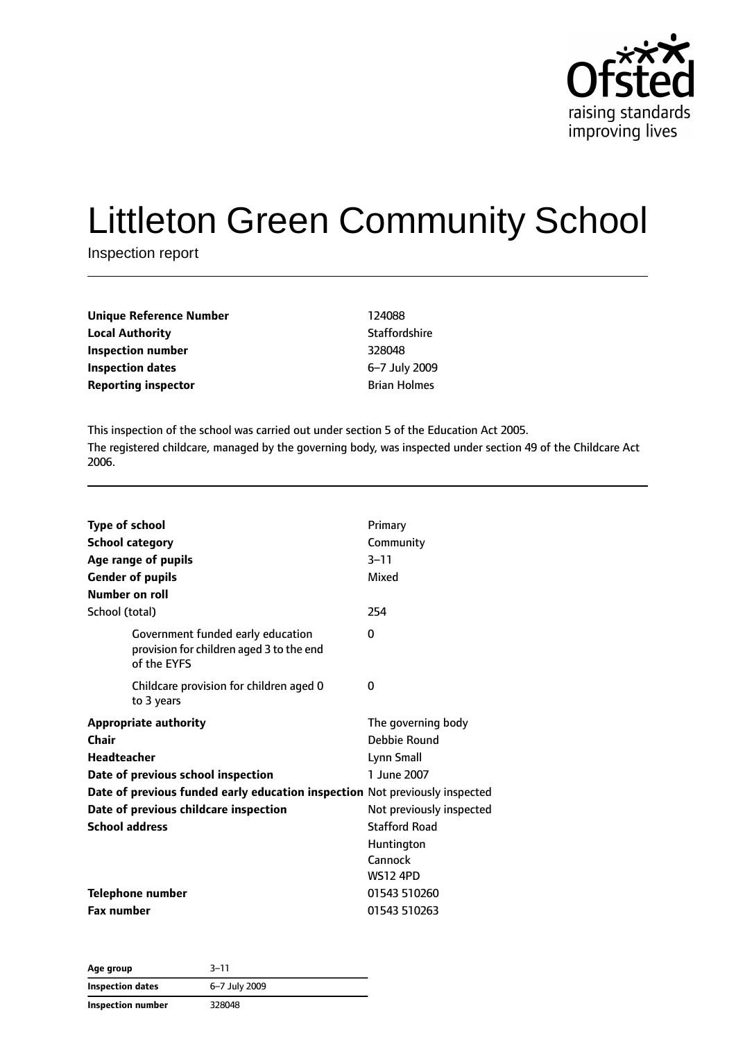

# Littleton Green Community School

Inspection report

| <b>Unique Reference Number</b> | 124088               |
|--------------------------------|----------------------|
| <b>Local Authority</b>         | <b>Staffordshire</b> |
| Inspection number              | 328048               |
| <b>Inspection dates</b>        | 6-7 July 2009        |
| <b>Reporting inspector</b>     | <b>Brian Holmes</b>  |

This inspection of the school was carried out under section 5 of the Education Act 2005. The registered childcare, managed by the governing body, was inspected under section 49 of the Childcare Act 2006.

| <b>Type of school</b><br><b>School category</b><br>Age range of pupils<br><b>Gender of pupils</b><br>Number on roll<br>School (total)                                                                                                              | Primary<br>Community<br>$3 - 11$<br>Mixed<br>254                                                                                                                |
|----------------------------------------------------------------------------------------------------------------------------------------------------------------------------------------------------------------------------------------------------|-----------------------------------------------------------------------------------------------------------------------------------------------------------------|
| Government funded early education<br>provision for children aged 3 to the end<br>of the EYFS                                                                                                                                                       | 0                                                                                                                                                               |
| Childcare provision for children aged 0<br>to 3 years                                                                                                                                                                                              | 0                                                                                                                                                               |
| <b>Appropriate authority</b><br>Chair<br><b>Headteacher</b><br>Date of previous school inspection<br>Date of previous funded early education inspection Not previously inspected<br>Date of previous childcare inspection<br><b>School address</b> | The governing body<br>Debbie Round<br>Lynn Small<br>1 June 2007<br>Not previously inspected<br><b>Stafford Road</b><br>Huntington<br>Cannock<br><b>WS12 4PD</b> |
| <b>Telephone number</b><br><b>Fax number</b>                                                                                                                                                                                                       | 01543 510260<br>01543 510263                                                                                                                                    |

**Age group** 3–11 **Inspection dates** 6–7 July 2009 **Inspection number** 328048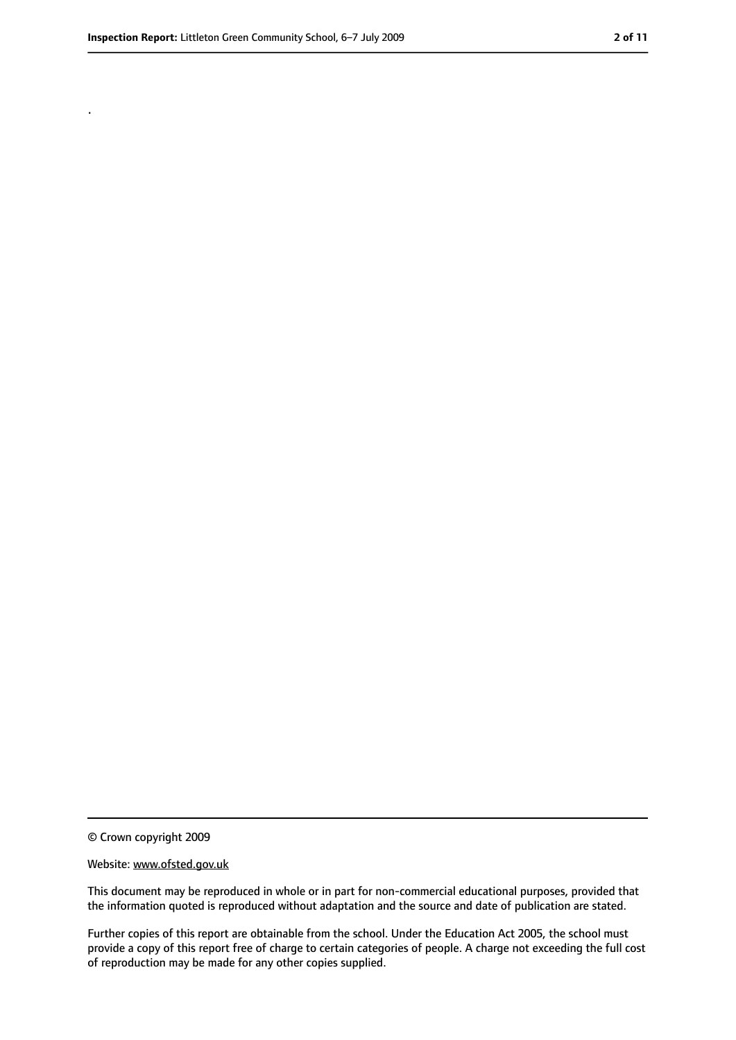.

<sup>©</sup> Crown copyright 2009

Website: www.ofsted.gov.uk

This document may be reproduced in whole or in part for non-commercial educational purposes, provided that the information quoted is reproduced without adaptation and the source and date of publication are stated.

Further copies of this report are obtainable from the school. Under the Education Act 2005, the school must provide a copy of this report free of charge to certain categories of people. A charge not exceeding the full cost of reproduction may be made for any other copies supplied.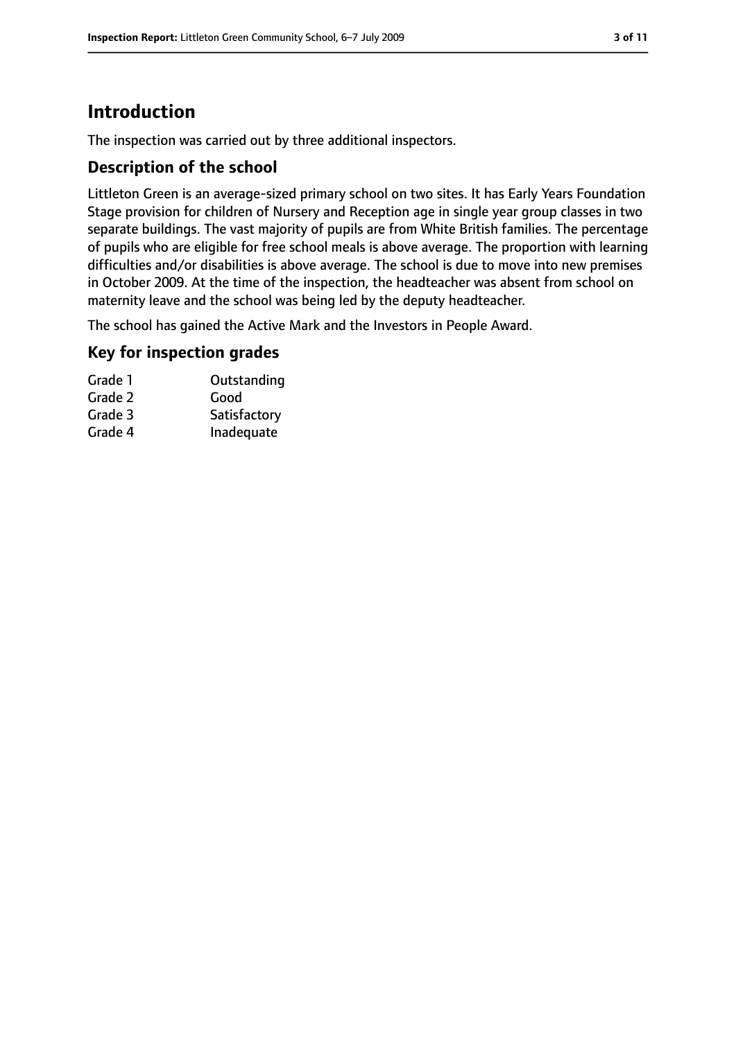# **Introduction**

The inspection was carried out by three additional inspectors.

## **Description of the school**

Littleton Green is an average-sized primary school on two sites. It has Early Years Foundation Stage provision for children of Nursery and Reception age in single year group classes in two separate buildings. The vast majority of pupils are from White British families. The percentage of pupils who are eligible for free school meals is above average. The proportion with learning difficulties and/or disabilities is above average. The school is due to move into new premises in October 2009. At the time of the inspection, the headteacher was absent from school on maternity leave and the school was being led by the deputy headteacher.

The school has gained the Active Mark and the Investors in People Award.

## **Key for inspection grades**

| Outstanding  |
|--------------|
| Good         |
| Satisfactory |
| Inadequate   |
|              |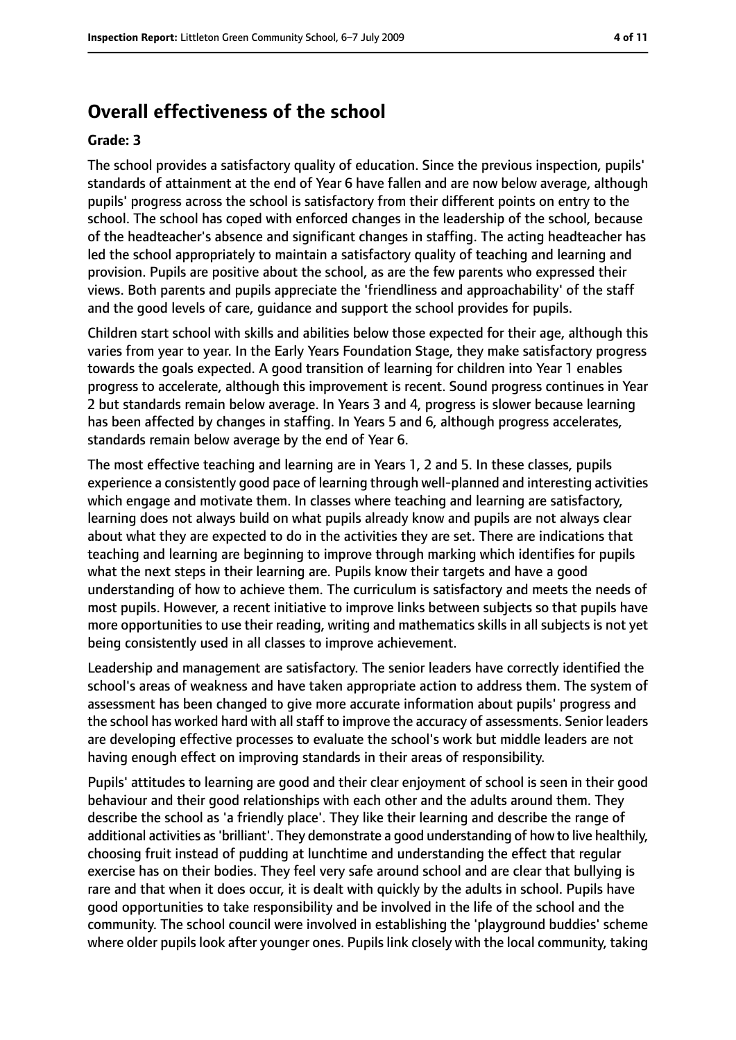## **Overall effectiveness of the school**

#### **Grade: 3**

The school provides a satisfactory quality of education. Since the previous inspection, pupils' standards of attainment at the end of Year 6 have fallen and are now below average, although pupils' progress across the school is satisfactory from their different points on entry to the school. The school has coped with enforced changes in the leadership of the school, because of the headteacher's absence and significant changes in staffing. The acting headteacher has led the school appropriately to maintain a satisfactory quality of teaching and learning and provision. Pupils are positive about the school, as are the few parents who expressed their views. Both parents and pupils appreciate the 'friendliness and approachability' of the staff and the good levels of care, guidance and support the school provides for pupils.

Children start school with skills and abilities below those expected for their age, although this varies from year to year. In the Early Years Foundation Stage, they make satisfactory progress towards the goals expected. A good transition of learning for children into Year 1 enables progress to accelerate, although this improvement is recent. Sound progress continues in Year 2 but standards remain below average. In Years 3 and 4, progress is slower because learning has been affected by changes in staffing. In Years 5 and 6, although progress accelerates, standards remain below average by the end of Year 6.

The most effective teaching and learning are in Years 1, 2 and 5. In these classes, pupils experience a consistently good pace of learning through well-planned and interesting activities which engage and motivate them. In classes where teaching and learning are satisfactory, learning does not always build on what pupils already know and pupils are not always clear about what they are expected to do in the activities they are set. There are indications that teaching and learning are beginning to improve through marking which identifies for pupils what the next steps in their learning are. Pupils know their targets and have a good understanding of how to achieve them. The curriculum is satisfactory and meets the needs of most pupils. However, a recent initiative to improve links between subjects so that pupils have more opportunities to use their reading, writing and mathematics skills in all subjects is not yet being consistently used in all classes to improve achievement.

Leadership and management are satisfactory. The senior leaders have correctly identified the school's areas of weakness and have taken appropriate action to address them. The system of assessment has been changed to give more accurate information about pupils' progress and the school has worked hard with all staff to improve the accuracy of assessments. Senior leaders are developing effective processes to evaluate the school's work but middle leaders are not having enough effect on improving standards in their areas of responsibility.

Pupils' attitudes to learning are good and their clear enjoyment of school is seen in their good behaviour and their good relationships with each other and the adults around them. They describe the school as 'a friendly place'. They like their learning and describe the range of additional activities as'brilliant'. They demonstrate a good understanding of how to live healthily, choosing fruit instead of pudding at lunchtime and understanding the effect that regular exercise has on their bodies. They feel very safe around school and are clear that bullying is rare and that when it does occur, it is dealt with quickly by the adults in school. Pupils have good opportunities to take responsibility and be involved in the life of the school and the community. The school council were involved in establishing the 'playground buddies' scheme where older pupils look after younger ones. Pupils link closely with the local community, taking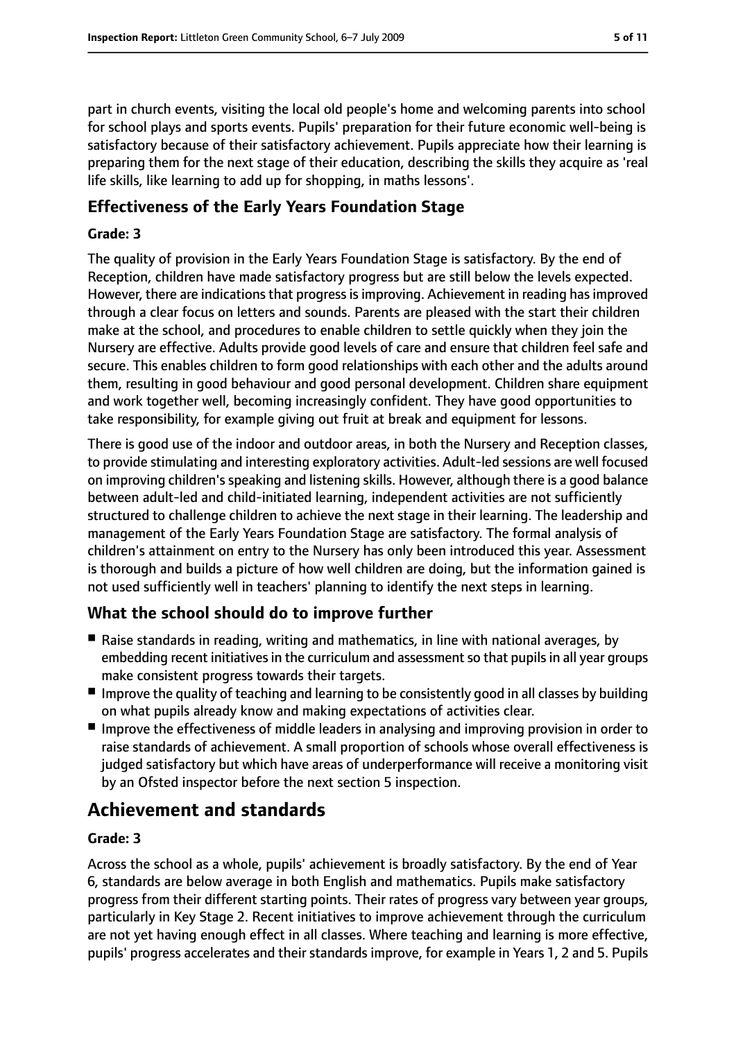part in church events, visiting the local old people's home and welcoming parents into school for school plays and sports events. Pupils' preparation for their future economic well-being is satisfactory because of their satisfactory achievement. Pupils appreciate how their learning is preparing them for the next stage of their education, describing the skills they acquire as 'real life skills, like learning to add up for shopping, in maths lessons'.

## **Effectiveness of the Early Years Foundation Stage**

#### **Grade: 3**

The quality of provision in the Early Years Foundation Stage is satisfactory. By the end of Reception, children have made satisfactory progress but are still below the levels expected. However, there are indications that progress is improving. Achievement in reading has improved through a clear focus on letters and sounds. Parents are pleased with the start their children make at the school, and procedures to enable children to settle quickly when they join the Nursery are effective. Adults provide good levels of care and ensure that children feel safe and secure. This enables children to form good relationships with each other and the adults around them, resulting in good behaviour and good personal development. Children share equipment and work together well, becoming increasingly confident. They have good opportunities to take responsibility, for example giving out fruit at break and equipment for lessons.

There is good use of the indoor and outdoor areas, in both the Nursery and Reception classes, to provide stimulating and interesting exploratory activities. Adult-led sessions are well focused on improving children's speaking and listening skills. However, although there is a good balance between adult-led and child-initiated learning, independent activities are not sufficiently structured to challenge children to achieve the next stage in their learning. The leadership and management of the Early Years Foundation Stage are satisfactory. The formal analysis of children's attainment on entry to the Nursery has only been introduced this year. Assessment is thorough and builds a picture of how well children are doing, but the information gained is not used sufficiently well in teachers' planning to identify the next steps in learning.

## **What the school should do to improve further**

- Raise standards in reading, writing and mathematics, in line with national averages, by embedding recent initiatives in the curriculum and assessment so that pupils in all year groups make consistent progress towards their targets.
- Improve the quality of teaching and learning to be consistently good in all classes by building on what pupils already know and making expectations of activities clear.
- Improve the effectiveness of middle leaders in analysing and improving provision in order to raise standards of achievement. A small proportion of schools whose overall effectiveness is judged satisfactory but which have areas of underperformance will receive a monitoring visit by an Ofsted inspector before the next section 5 inspection.

# **Achievement and standards**

#### **Grade: 3**

Across the school as a whole, pupils' achievement is broadly satisfactory. By the end of Year 6, standards are below average in both English and mathematics. Pupils make satisfactory progress from their different starting points. Their rates of progress vary between year groups, particularly in Key Stage 2. Recent initiatives to improve achievement through the curriculum are not yet having enough effect in all classes. Where teaching and learning is more effective, pupils' progress accelerates and their standards improve, for example in Years 1, 2 and 5. Pupils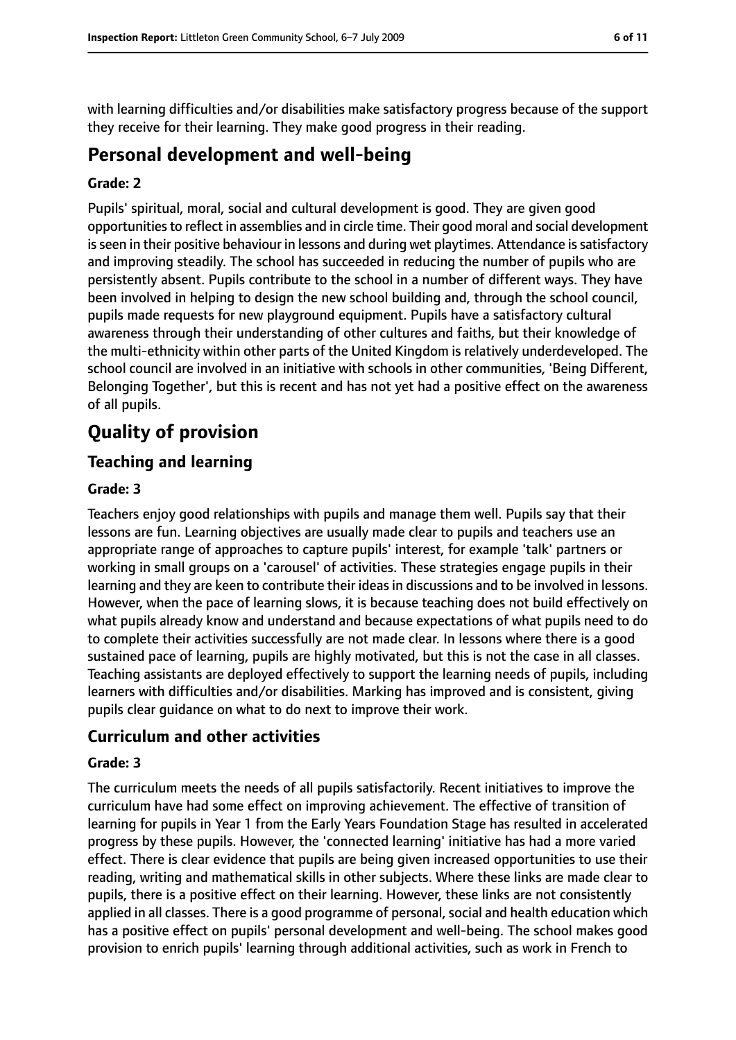with learning difficulties and/or disabilities make satisfactory progress because of the support they receive for their learning. They make good progress in their reading.

## **Personal development and well-being**

#### **Grade: 2**

Pupils' spiritual, moral, social and cultural development is good. They are given good opportunitiesto reflect in assemblies and in circle time. Their good moral and social development is seen in their positive behaviour in lessons and during wet playtimes. Attendance is satisfactory and improving steadily. The school has succeeded in reducing the number of pupils who are persistently absent. Pupils contribute to the school in a number of different ways. They have been involved in helping to design the new school building and, through the school council, pupils made requests for new playground equipment. Pupils have a satisfactory cultural awareness through their understanding of other cultures and faiths, but their knowledge of the multi-ethnicity within other parts of the United Kingdom is relatively underdeveloped. The school council are involved in an initiative with schools in other communities, 'Being Different, Belonging Together', but this is recent and has not yet had a positive effect on the awareness of all pupils.

# **Quality of provision**

## **Teaching and learning**

#### **Grade: 3**

Teachers enjoy good relationships with pupils and manage them well. Pupils say that their lessons are fun. Learning objectives are usually made clear to pupils and teachers use an appropriate range of approaches to capture pupils' interest, for example 'talk' partners or working in small groups on a 'carousel' of activities. These strategies engage pupils in their learning and they are keen to contribute their ideasin discussions and to be involved in lessons. However, when the pace of learning slows, it is because teaching does not build effectively on what pupils already know and understand and because expectations of what pupils need to do to complete their activities successfully are not made clear. In lessons where there is a good sustained pace of learning, pupils are highly motivated, but this is not the case in all classes. Teaching assistants are deployed effectively to support the learning needs of pupils, including learners with difficulties and/or disabilities. Marking has improved and is consistent, giving pupils clear guidance on what to do next to improve their work.

## **Curriculum and other activities**

#### **Grade: 3**

The curriculum meets the needs of all pupils satisfactorily. Recent initiatives to improve the curriculum have had some effect on improving achievement. The effective of transition of learning for pupils in Year 1 from the Early Years Foundation Stage has resulted in accelerated progress by these pupils. However, the 'connected learning' initiative has had a more varied effect. There is clear evidence that pupils are being given increased opportunities to use their reading, writing and mathematical skills in other subjects. Where these links are made clear to pupils, there is a positive effect on their learning. However, these links are not consistently applied in all classes. There is a good programme of personal, social and health education which has a positive effect on pupils' personal development and well-being. The school makes good provision to enrich pupils' learning through additional activities, such as work in French to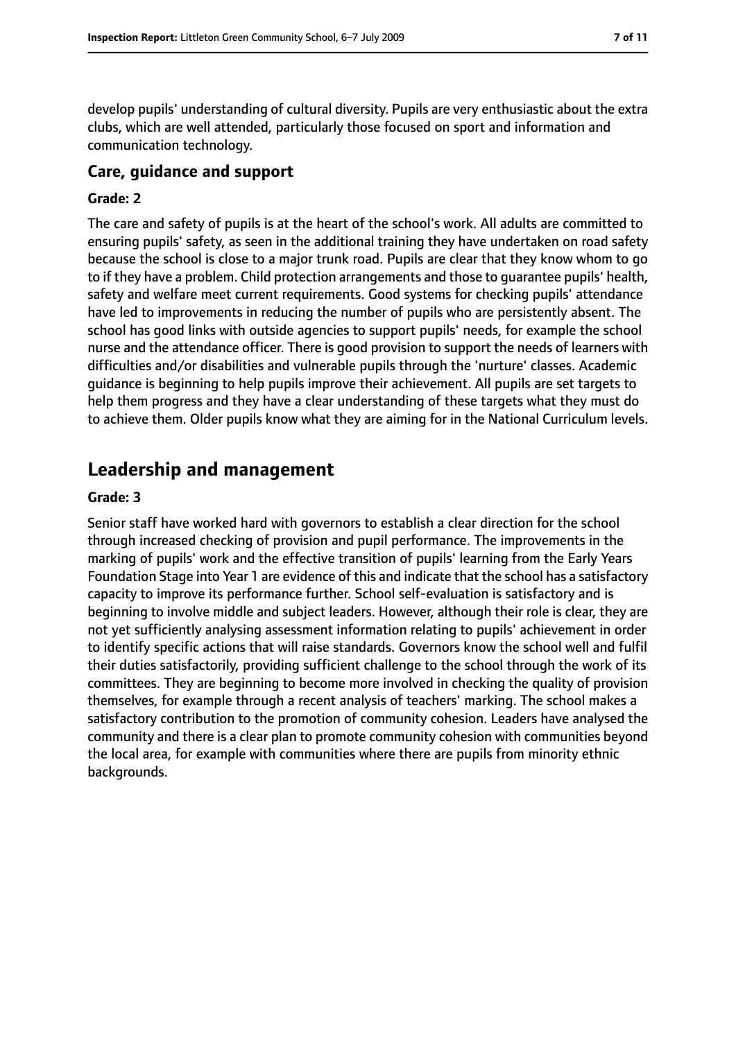develop pupils' understanding of cultural diversity. Pupils are very enthusiastic about the extra clubs, which are well attended, particularly those focused on sport and information and communication technology.

#### **Care, guidance and support**

#### **Grade: 2**

The care and safety of pupils is at the heart of the school's work. All adults are committed to ensuring pupils' safety, as seen in the additional training they have undertaken on road safety because the school is close to a major trunk road. Pupils are clear that they know whom to go to if they have a problem. Child protection arrangements and those to guarantee pupils' health, safety and welfare meet current requirements. Good systems for checking pupils' attendance have led to improvements in reducing the number of pupils who are persistently absent. The school has good links with outside agencies to support pupils' needs, for example the school nurse and the attendance officer. There is good provision to support the needs of learners with difficulties and/or disabilities and vulnerable pupils through the 'nurture' classes. Academic guidance is beginning to help pupils improve their achievement. All pupils are set targets to help them progress and they have a clear understanding of these targets what they must do to achieve them. Older pupils know what they are aiming for in the National Curriculum levels.

## **Leadership and management**

#### **Grade: 3**

Senior staff have worked hard with governors to establish a clear direction for the school through increased checking of provision and pupil performance. The improvements in the marking of pupils' work and the effective transition of pupils' learning from the Early Years Foundation Stage into Year 1 are evidence of this and indicate that the school has a satisfactory capacity to improve its performance further. School self-evaluation is satisfactory and is beginning to involve middle and subject leaders. However, although their role is clear, they are not yet sufficiently analysing assessment information relating to pupils' achievement in order to identify specific actions that will raise standards. Governors know the school well and fulfil their duties satisfactorily, providing sufficient challenge to the school through the work of its committees. They are beginning to become more involved in checking the quality of provision themselves, for example through a recent analysis of teachers' marking. The school makes a satisfactory contribution to the promotion of community cohesion. Leaders have analysed the community and there is a clear plan to promote community cohesion with communities beyond the local area, for example with communities where there are pupils from minority ethnic backgrounds.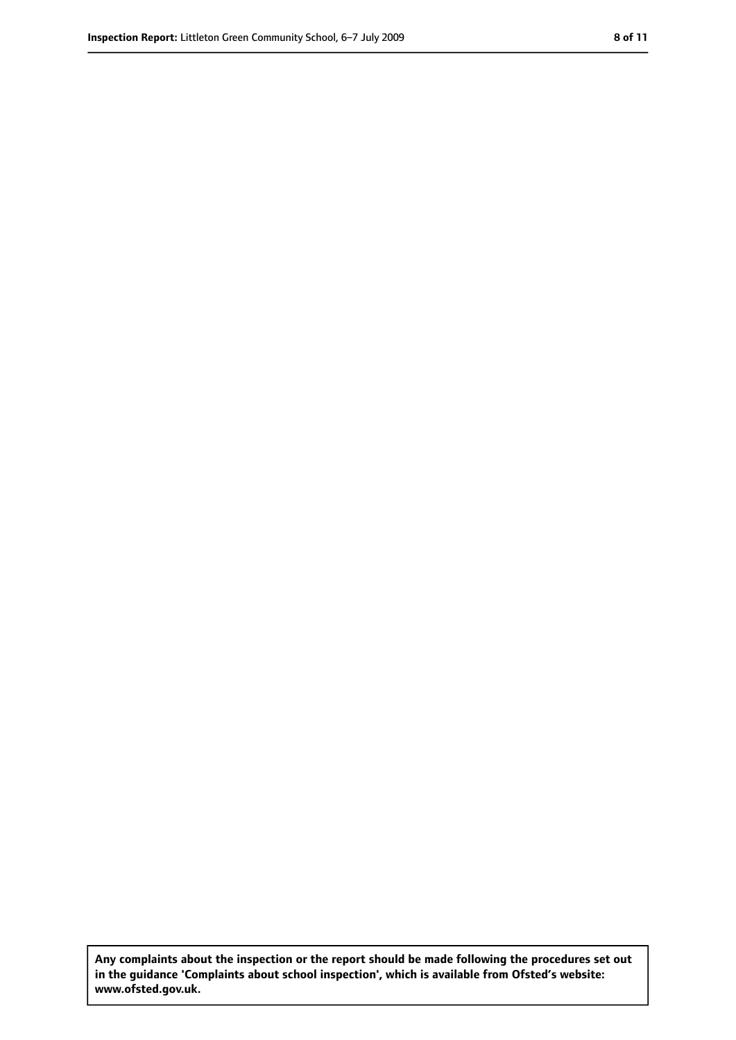**Any complaints about the inspection or the report should be made following the procedures set out in the guidance 'Complaints about school inspection', which is available from Ofsted's website: www.ofsted.gov.uk.**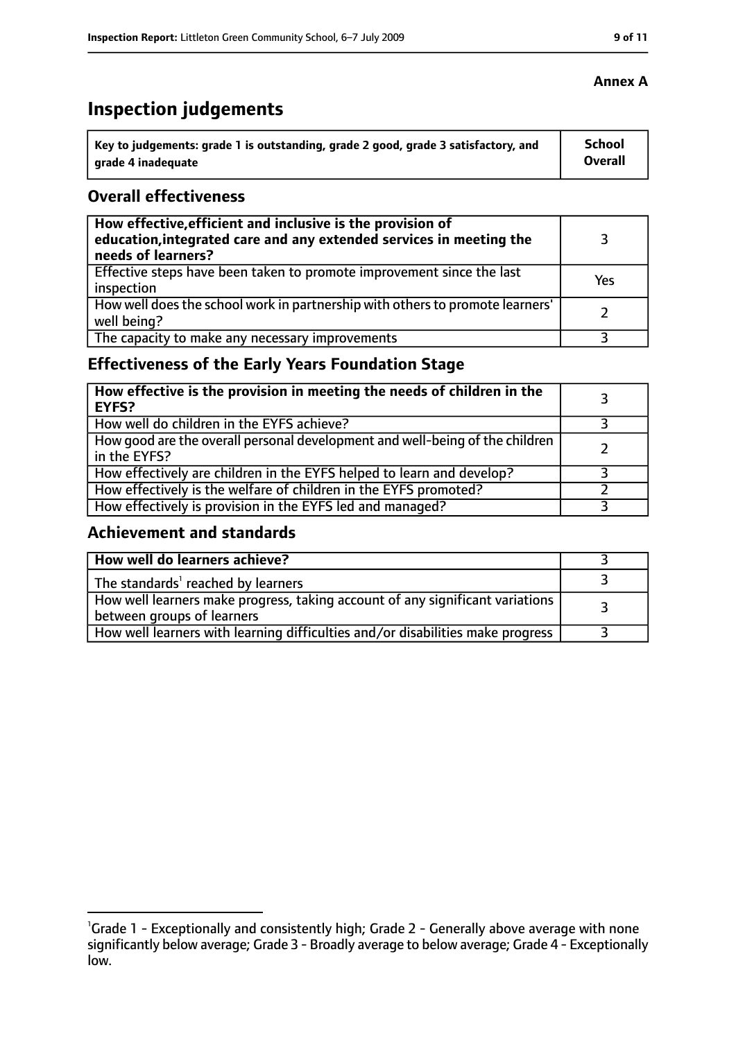# **Inspection judgements**

| Key to judgements: grade 1 is outstanding, grade 2 good, grade 3 satisfactory, and | School  |
|------------------------------------------------------------------------------------|---------|
| arade 4 inadequate                                                                 | Overall |

## **Overall effectiveness**

| How effective, efficient and inclusive is the provision of<br>education, integrated care and any extended services in meeting the<br>needs of learners? |     |
|---------------------------------------------------------------------------------------------------------------------------------------------------------|-----|
| Effective steps have been taken to promote improvement since the last<br>inspection                                                                     | Yes |
| How well does the school work in partnership with others to promote learners'<br>well being?                                                            |     |
| The capacity to make any necessary improvements                                                                                                         |     |

## **Effectiveness of the Early Years Foundation Stage**

| How effective is the provision in meeting the needs of children in the<br>l EYFS?              |  |
|------------------------------------------------------------------------------------------------|--|
| How well do children in the EYFS achieve?                                                      |  |
| How good are the overall personal development and well-being of the children<br>I in the EYFS? |  |
| How effectively are children in the EYFS helped to learn and develop?                          |  |
| How effectively is the welfare of children in the EYFS promoted?                               |  |
| How effectively is provision in the EYFS led and managed?                                      |  |

## **Achievement and standards**

| How well do learners achieve?                                                                               |  |
|-------------------------------------------------------------------------------------------------------------|--|
| The standards <sup>1</sup> reached by learners                                                              |  |
| How well learners make progress, taking account of any significant variations<br>between groups of learners |  |
| How well learners with learning difficulties and/or disabilities make progress                              |  |

## **Annex A**

<sup>&</sup>lt;sup>1</sup>Grade 1 - Exceptionally and consistently high; Grade 2 - Generally above average with none significantly below average; Grade 3 - Broadly average to below average; Grade 4 - Exceptionally low.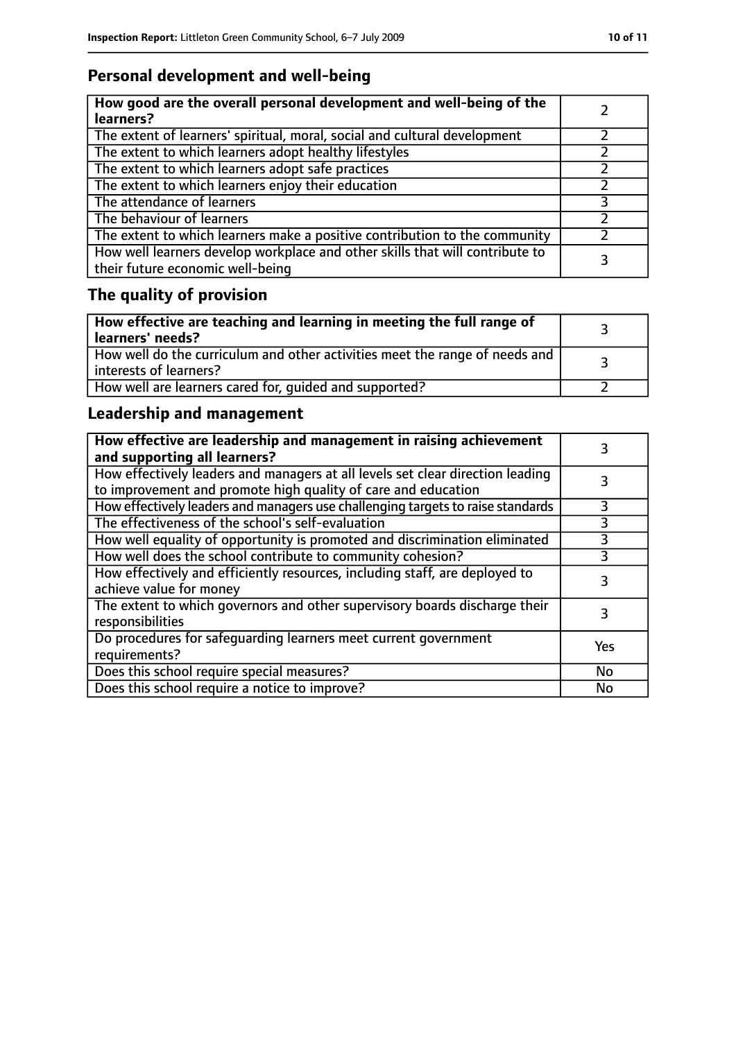# **Personal development and well-being**

| How good are the overall personal development and well-being of the<br>learners?                                 |  |
|------------------------------------------------------------------------------------------------------------------|--|
| The extent of learners' spiritual, moral, social and cultural development                                        |  |
| The extent to which learners adopt healthy lifestyles                                                            |  |
| The extent to which learners adopt safe practices                                                                |  |
| The extent to which learners enjoy their education                                                               |  |
| The attendance of learners                                                                                       |  |
| The behaviour of learners                                                                                        |  |
| The extent to which learners make a positive contribution to the community                                       |  |
| How well learners develop workplace and other skills that will contribute to<br>their future economic well-being |  |

# **The quality of provision**

| How effective are teaching and learning in meeting the full range of<br>learners' needs?                |  |
|---------------------------------------------------------------------------------------------------------|--|
| How well do the curriculum and other activities meet the range of needs and<br>  interests of learners? |  |
| How well are learners cared for, quided and supported?                                                  |  |

## **Leadership and management**

| How effective are leadership and management in raising achievement<br>and supporting all learners?                                              |     |
|-------------------------------------------------------------------------------------------------------------------------------------------------|-----|
| How effectively leaders and managers at all levels set clear direction leading<br>to improvement and promote high quality of care and education |     |
| How effectively leaders and managers use challenging targets to raise standards                                                                 |     |
| The effectiveness of the school's self-evaluation                                                                                               | 3   |
| How well equality of opportunity is promoted and discrimination eliminated                                                                      | 3   |
| How well does the school contribute to community cohesion?                                                                                      | 3   |
| How effectively and efficiently resources, including staff, are deployed to<br>achieve value for money                                          | 3   |
| The extent to which governors and other supervisory boards discharge their<br>responsibilities                                                  |     |
| Do procedures for safequarding learners meet current government<br>requirements?                                                                | Yes |
| Does this school require special measures?                                                                                                      | No  |
| Does this school require a notice to improve?                                                                                                   | No  |